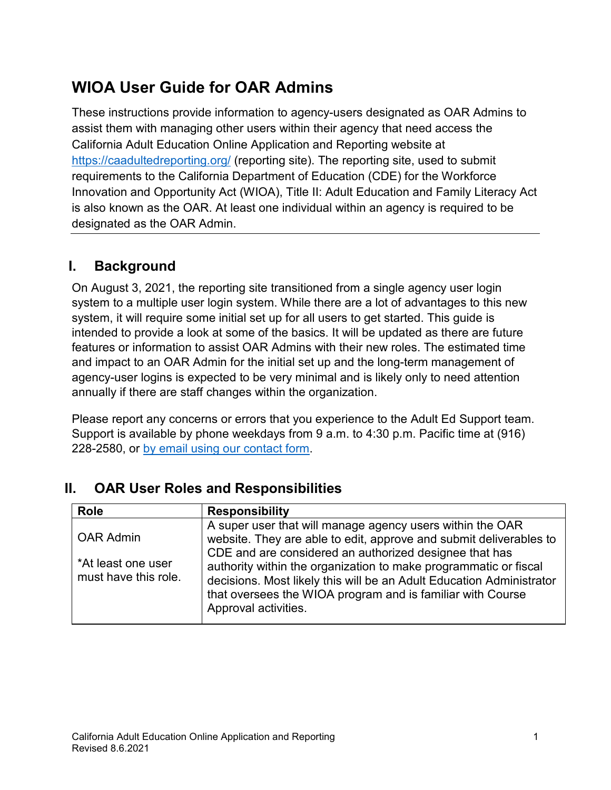# **WIOA User Guide for OAR Admins**

These instructions provide information to agency-users designated as OAR Admins to assist them with managing other users within their agency that need access the California Adult Education Online Application and Reporting website at <https://caadultedreporting.org/> (reporting site). The reporting site, used to submit requirements to the California Department of Education (CDE) for the Workforce Innovation and Opportunity Act (WIOA), Title II: Adult Education and Family Literacy Act is also known as the OAR. At least one individual within an agency is required to be designated as the OAR Admin.

## **I. Background**

On August 3, 2021, the reporting site transitioned from a single agency user login system to a multiple user login system. While there are a lot of advantages to this new system, it will require some initial set up for all users to get started. This guide is intended to provide a look at some of the basics. It will be updated as there are future features or information to assist OAR Admins with their new roles. The estimated time and impact to an OAR Admin for the initial set up and the long-term management of agency-user logins is expected to be very minimal and is likely only to need attention annually if there are staff changes within the organization.

Please report any concerns or errors that you experience to the Adult Ed Support team. Support is available by phone weekdays from 9 a.m. to 4:30 p.m. Pacific time at (916) 228-2580, or [by email using our contact form.](https://caadultedreporting.org/Support/ContactOTAN)

## **II. OAR User Roles and Responsibilities**

| <b>Role</b>                                                    | <b>Responsibility</b>                                                                                                                                                                                                                                                                                                                                                                                                       |
|----------------------------------------------------------------|-----------------------------------------------------------------------------------------------------------------------------------------------------------------------------------------------------------------------------------------------------------------------------------------------------------------------------------------------------------------------------------------------------------------------------|
| <b>OAR Admin</b><br>*At least one user<br>must have this role. | A super user that will manage agency users within the OAR<br>website. They are able to edit, approve and submit deliverables to<br>CDE and are considered an authorized designee that has<br>authority within the organization to make programmatic or fiscal<br>decisions. Most likely this will be an Adult Education Administrator<br>that oversees the WIOA program and is familiar with Course<br>Approval activities. |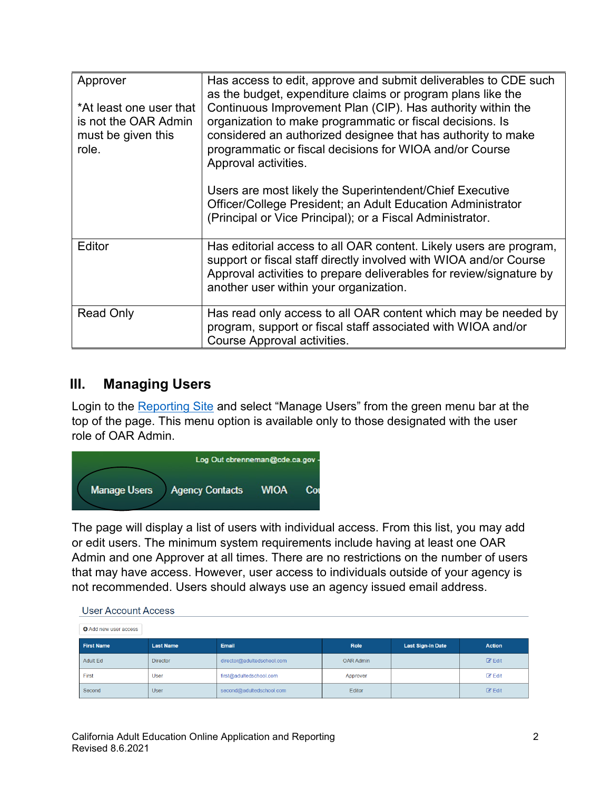| Approver<br>*At least one user that<br>is not the OAR Admin<br>must be given this<br>role. | Has access to edit, approve and submit deliverables to CDE such<br>as the budget, expenditure claims or program plans like the<br>Continuous Improvement Plan (CIP). Has authority within the<br>organization to make programmatic or fiscal decisions. Is<br>considered an authorized designee that has authority to make<br>programmatic or fiscal decisions for WIOA and/or Course<br>Approval activities.<br>Users are most likely the Superintendent/Chief Executive<br>Officer/College President; an Adult Education Administrator<br>(Principal or Vice Principal); or a Fiscal Administrator. |
|--------------------------------------------------------------------------------------------|-------------------------------------------------------------------------------------------------------------------------------------------------------------------------------------------------------------------------------------------------------------------------------------------------------------------------------------------------------------------------------------------------------------------------------------------------------------------------------------------------------------------------------------------------------------------------------------------------------|
| Editor                                                                                     | Has editorial access to all OAR content. Likely users are program,<br>support or fiscal staff directly involved with WIOA and/or Course<br>Approval activities to prepare deliverables for review/signature by<br>another user within your organization.                                                                                                                                                                                                                                                                                                                                              |
| <b>Read Only</b>                                                                           | Has read only access to all OAR content which may be needed by<br>program, support or fiscal staff associated with WIOA and/or<br>Course Approval activities.                                                                                                                                                                                                                                                                                                                                                                                                                                         |

### **III. Managing Users**

Login to the [Reporting Site](https://caadultedreporting.org/) and select "Manage Users" from the green menu bar at the top of the page. This menu option is available only to those designated with the user role of OAR Admin.



The page will display a list of users with individual access. From this list, you may add or edit users. The minimum system requirements include having at least one OAR Admin and one Approver at all times. There are no restrictions on the number of users that may have access. However, user access to individuals outside of your agency is not recommended. Users should always use an agency issued email address.

| <u>oudi i louduilli luddod</u> |                  |                            |                  |                          |                    |
|--------------------------------|------------------|----------------------------|------------------|--------------------------|--------------------|
| <b>O</b> Add new user access   |                  |                            |                  |                          |                    |
| <b>First Name</b>              | <b>Last Name</b> | Email                      | Role             | <b>Last Sign-In Date</b> | <b>Action</b>      |
| Adult Ed                       | <b>Director</b>  | director@adultedschool.com | <b>OAR Admin</b> |                          | $\mathbb{Z}$ Edit  |
| First                          | <b>User</b>      | first@adultedschool.com    | Approver         |                          | $\mathbb{Z}$ Edit  |
| Second                         | <b>User</b>      | second@adultedschool.com   | Editor           |                          | $\mathscr{C}$ Edit |

#### **LISAT ACCOUNT ACCASS**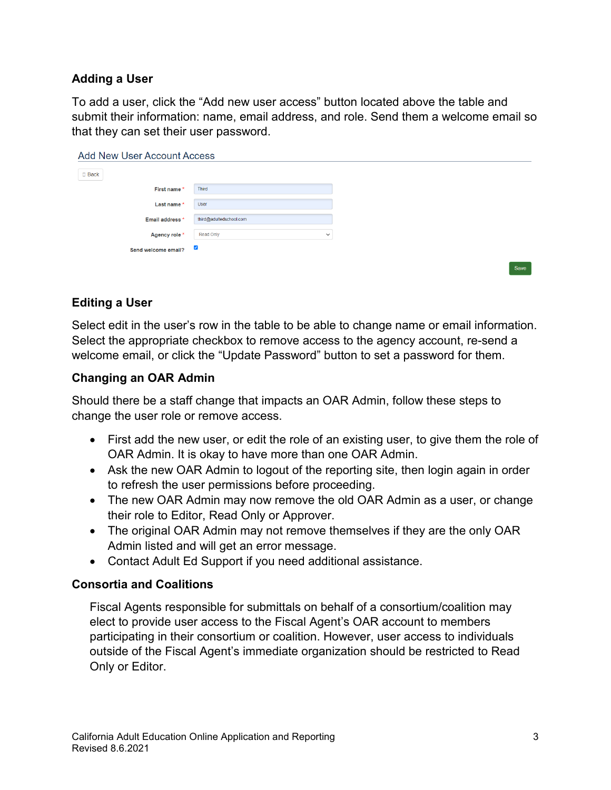#### **Adding a User**

To add a user, click the "Add new user access" button located above the table and submit their information: name, email address, and role. Send them a welcome email so that they can set their user password.

| <b>Add New User Account Access</b> |                           |      |  |
|------------------------------------|---------------------------|------|--|
| $\square$ Back                     |                           |      |  |
| First name *                       | Third                     |      |  |
| Last name *                        | User                      |      |  |
| Email address <sup>*</sup>         | third@adultedschool.com   |      |  |
| Agency role *                      | Read Only<br>$\checkmark$ |      |  |
| Send welcome email?                | $\blacktriangledown$      |      |  |
|                                    |                           | Savo |  |

### **Editing a User**

Select edit in the user's row in the table to be able to change name or email information. Select the appropriate checkbox to remove access to the agency account, re-send a welcome email, or click the "Update Password" button to set a password for them.

#### **Changing an OAR Admin**

Should there be a staff change that impacts an OAR Admin, follow these steps to change the user role or remove access.

- First add the new user, or edit the role of an existing user, to give them the role of OAR Admin. It is okay to have more than one OAR Admin.
- Ask the new OAR Admin to logout of the reporting site, then login again in order to refresh the user permissions before proceeding.
- The new OAR Admin may now remove the old OAR Admin as a user, or change their role to Editor, Read Only or Approver.
- The original OAR Admin may not remove themselves if they are the only OAR Admin listed and will get an error message.
- Contact Adult Ed Support if you need additional assistance.

#### **Consortia and Coalitions**

Fiscal Agents responsible for submittals on behalf of a consortium/coalition may elect to provide user access to the Fiscal Agent's OAR account to members participating in their consortium or coalition. However, user access to individuals outside of the Fiscal Agent's immediate organization should be restricted to Read Only or Editor.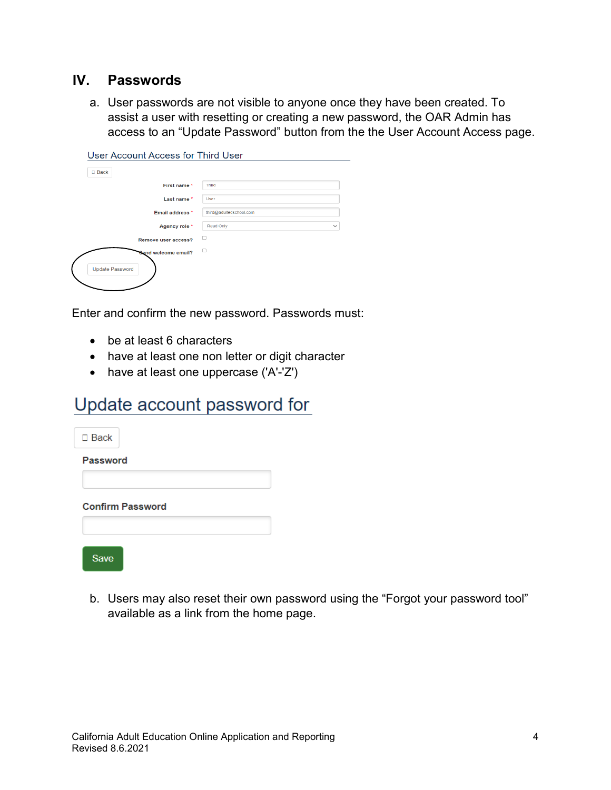### **IV. Passwords**

a. User passwords are not visible to anyone once they have been created. To assist a user with resetting or creating a new password, the OAR Admin has access to an "Update Password" button from the the User Account Access page.

| User Account Access for Third User |                           |
|------------------------------------|---------------------------|
| $□$ Back                           |                           |
| First name *                       | <b>Third</b>              |
| Last name*                         | User                      |
| Email address *                    | third@adultedschool.com   |
| Agency role *                      | Read Only<br>$\checkmark$ |
| Remove user access?                |                           |
| Send welcome email?                | □                         |
| <b>Update Password</b>             |                           |
|                                    |                           |

Enter and confirm the new password. Passwords must:

- be at least 6 characters
- have at least one non letter or digit character
- have at least one uppercase ('A'-'Z')

## Update account password for

| $\Box$ Back     |                         |  |  |
|-----------------|-------------------------|--|--|
| <b>Password</b> |                         |  |  |
|                 |                         |  |  |
|                 | <b>Confirm Password</b> |  |  |
|                 |                         |  |  |
| ve              |                         |  |  |

b. Users may also reset their own password using the "Forgot your password tool" available as a link from the home page.